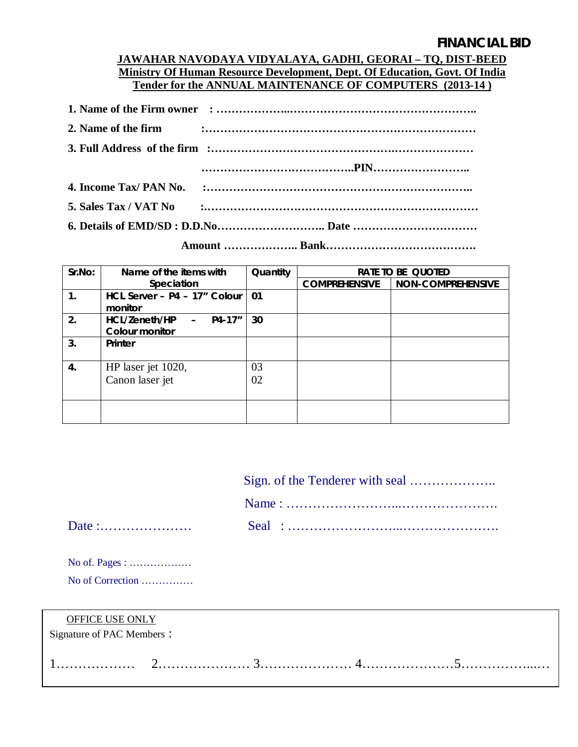## **FINANCIAL BID**

### **JAWAHAR NAVODAYA VIDYALAYA, GADHI, GEORAI – TQ, DIST-BEED Ministry Of Human Resource Development, Dept. Of Education, Govt. Of India Tender for the ANNUAL MAINTENANCE OF COMPUTERS (2013-14 )**

|  | 5. Sales Tax / VAT No $\cdots$ $\cdots$ $\cdots$ $\cdots$ $\cdots$ $\cdots$ $\cdots$ $\cdots$ $\cdots$ $\cdots$ $\cdots$ $\cdots$ $\cdots$ |  |  |
|--|--------------------------------------------------------------------------------------------------------------------------------------------|--|--|
|  |                                                                                                                                            |  |  |

 **Amount ……………….. Bank………………………………….**

| Sr.No: | Name of the items with                  | Quantity | <b>RATE TO BE QUOTED</b> |                          |
|--------|-----------------------------------------|----------|--------------------------|--------------------------|
|        | Speciation                              |          | <b>COMPREHENSIVE</b>     | <b>NON-COMPREHENSIVE</b> |
| 1.     | HCL Server - P4 - 17" Colour<br>monitor | 01       |                          |                          |
| 2.     | P4-17"<br>HCL/Zeneth/HP<br>$\sim$       | 30       |                          |                          |
|        | <b>Colour monitor</b>                   |          |                          |                          |
| 3.     | <b>Printer</b>                          |          |                          |                          |
| 4.     | HP laser jet 1020,                      | 03       |                          |                          |
|        | Canon laser jet                         | 02       |                          |                          |
|        |                                         |          |                          |                          |

No of. Pages : ……………… No of Correction ……………

Date :.......................

| <b>OFFICE USE ONLY</b><br>Signature of PAC Members : |  |  |
|------------------------------------------------------|--|--|
|                                                      |  |  |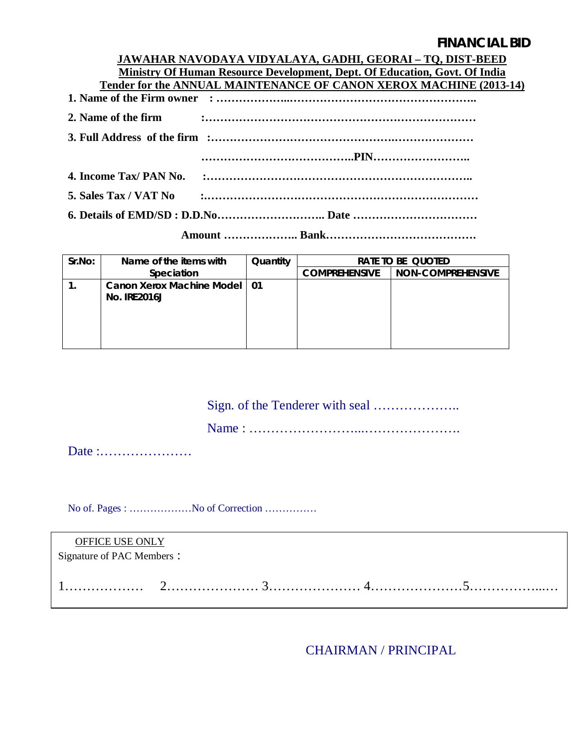## **FINANCIAL BID**

|                        | JAWAHAR NAVODAYA VIDYALAYA, GADHI, GEORAI – TO, DIST-BEED                         |
|------------------------|-----------------------------------------------------------------------------------|
|                        | <b>Ministry Of Human Resource Development, Dept. Of Education, Govt. Of India</b> |
|                        | Tender for the ANNUAL MAINTENANCE OF CANON XEROX MACHINE (2013-14)                |
|                        |                                                                                   |
| 2. Name of the firm    |                                                                                   |
|                        |                                                                                   |
|                        |                                                                                   |
| 4. Income Tax/ PAN No. |                                                                                   |
| 5. Sales Tax / VAT No  | $\ddotsc$                                                                         |
|                        |                                                                                   |
|                        |                                                                                   |

| Sr.No: | Name of the items with                                | Quantity | <b>RATE TO BE QUOTED</b> |                          |  |
|--------|-------------------------------------------------------|----------|--------------------------|--------------------------|--|
|        | <b>Speciation</b>                                     |          | <b>COMPREHENSIVE</b>     | <b>NON-COMPREHENSIVE</b> |  |
|        | Canon Xerox Machine Model   01<br><b>No. IRE2016J</b> |          |                          |                          |  |
|        |                                                       |          |                          |                          |  |

Sign. of the Tenderer with seal ………………..

Name : ……………………...………………….

Date :…………………

No of. Pages : ………………No of Correction ……………

| OFFICE USE ONLY<br>Signature of PAC Members: |  |  |
|----------------------------------------------|--|--|
|                                              |  |  |

CHAIRMAN / PRINCIPAL